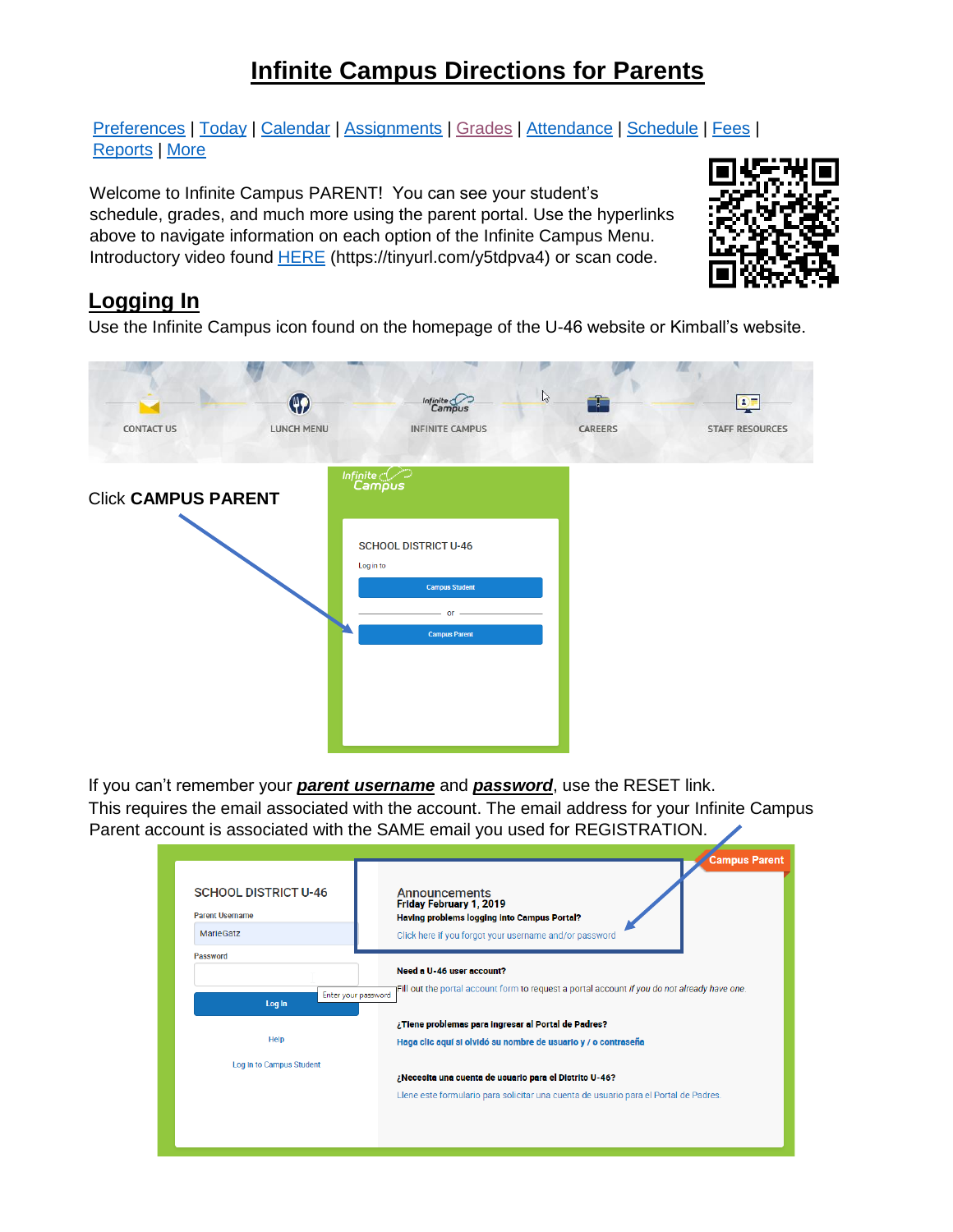# **Infinite Campus Directions for Parents**

[Preferences](#page-1-0) | [Today](#page-2-0) | [Calendar](#page-3-0) | [Assignments](#page-4-0) | [Grades](#page-5-0) | [Attendance](#page-6-0) | [Schedule](#page-6-1) | [Fees](#page-7-0) | [Reports](#page-7-1) | [More](#page-8-0)

Welcome to Infinite Campus PARENT! You can see your student's schedule, grades, and much more using the parent portal. Use the hyperlinks above to navigate information on each option of the Infinite Campus Menu. Introductory video found [HERE](https://www.infinitecampus.com/video/campus-parent-campus-student) (https://tinyurl.com/y5tdpva4) or scan code.



## **Logging In**

Use the Infinite Campus icon found on the homepage of the U-46 website or Kimball's website.

| <b>CONTACT US</b>          | $\bigcirc$<br>LUNCH MENU | Infinite Campus<br><b>INFINITE CAMPUS</b>                                                                             | $\mathbb{P}$<br>Æ<br>CAREERS | $\mathbf{Q}$<br><b>STAFF RESOURCES</b> |
|----------------------------|--------------------------|-----------------------------------------------------------------------------------------------------------------------|------------------------------|----------------------------------------|
| <b>Click CAMPUS PARENT</b> |                          | Infinite<br>Campus<br><b>SCHOOL DISTRICT U-46</b><br>Log in to<br><b>Campus Student</b><br>or<br><b>Campus Parent</b> |                              |                                        |

If you can't remember your *parent username* and *password*, use the RESET link.

This requires the email associated with the account. The email address for your Infinite Campus Parent account is associated with the SAME email you used for REGISTRATION.

|                                                                           | <b>Campus Parent</b>                                                                                                                                     |
|---------------------------------------------------------------------------|----------------------------------------------------------------------------------------------------------------------------------------------------------|
| <b>SCHOOL DISTRICT U-46</b><br><b>Parent Username</b><br><b>MarieGatz</b> | Announcements<br>Friday February 1, 2019<br><b>Having problems logging into Campus Portal?</b><br>Click here if you forgot your username and/or password |
| Password                                                                  |                                                                                                                                                          |
|                                                                           | Need a U-46 user account?                                                                                                                                |
| Enter your password<br>Log In                                             | Fill out the portal account form to request a portal account if you do not already have one.<br>¿Tiene problemas para ingresar al Portal de Padres?      |
| <b>Help</b>                                                               | Haga clic aquí si olvidó su nombre de usuario y / o contraseña                                                                                           |
| Log In to Campus Student                                                  |                                                                                                                                                          |
|                                                                           | ¿Necesita una cuenta de usuario para el Distrito U-46?                                                                                                   |
|                                                                           | Llene este formulario para solicitar una cuenta de usuario para el Portal de Padres.                                                                     |
|                                                                           |                                                                                                                                                          |
|                                                                           |                                                                                                                                                          |
|                                                                           |                                                                                                                                                          |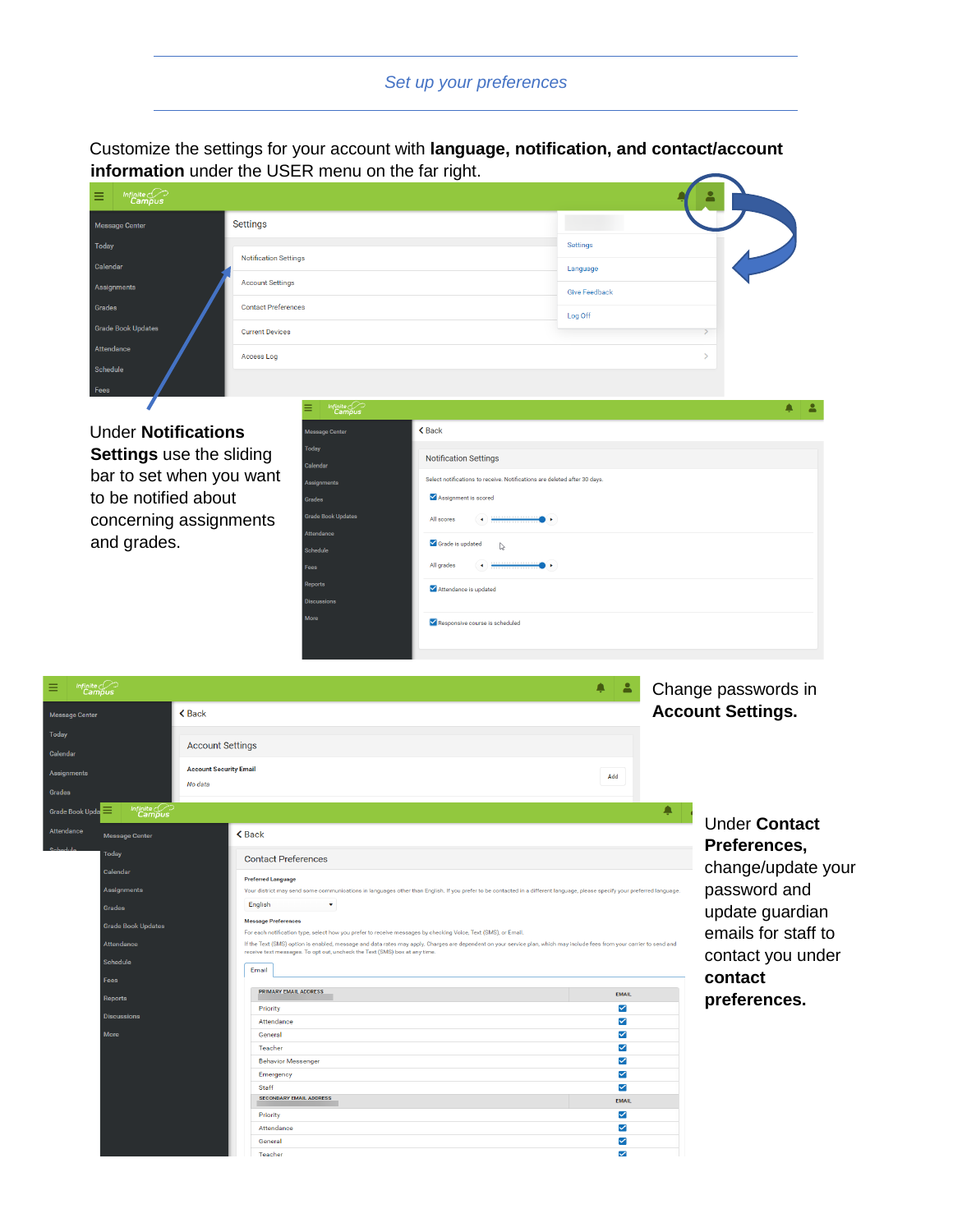## *Set up your preferences*

<span id="page-1-0"></span>Customize the settings for your account with **language, notification, and contact/account information** under the USER menu on the far right.  $\overline{\phantom{0}}$ 

| $\begin{picture}(22,10) \put(0,0){\line(1,0){10}} \put(15,0){\line(1,0){10}} \put(15,0){\line(1,0){10}} \put(15,0){\line(1,0){10}} \put(15,0){\line(1,0){10}} \put(15,0){\line(1,0){10}} \put(15,0){\line(1,0){10}} \put(15,0){\line(1,0){10}} \put(15,0){\line(1,0){10}} \put(15,0){\line(1,0){10}} \put(15,0){\line(1,0){10}} \put(15,0){\line(1$<br>目 |                              |                      |
|----------------------------------------------------------------------------------------------------------------------------------------------------------------------------------------------------------------------------------------------------------------------------------------------------------------------------------------------------------|------------------------------|----------------------|
| Message Center                                                                                                                                                                                                                                                                                                                                           | <b>Settings</b>              |                      |
| Today                                                                                                                                                                                                                                                                                                                                                    |                              | Settings             |
| Calendar                                                                                                                                                                                                                                                                                                                                                 | <b>Notification Settings</b> | Language             |
| Assignments                                                                                                                                                                                                                                                                                                                                              | <b>Account Settings</b>      | <b>Give Feedback</b> |
| Grades                                                                                                                                                                                                                                                                                                                                                   | <b>Contact Preferences</b>   | Log Off              |
| <b>Grade Book Updates</b>                                                                                                                                                                                                                                                                                                                                | <b>Current Devices</b>       |                      |
| Attendance                                                                                                                                                                                                                                                                                                                                               | Access Log                   |                      |
| Schedule                                                                                                                                                                                                                                                                                                                                                 |                              |                      |
| <b>Coop</b>                                                                                                                                                                                                                                                                                                                                              |                              |                      |

Under **Notifications Settings** use the sliding bar to set when you want to be notified about concerning assignments and grades.

7

| Infinite<br>Campus<br>⋍   |                                                                                                                                                                                                                                                                                                                                                                        |  |
|---------------------------|------------------------------------------------------------------------------------------------------------------------------------------------------------------------------------------------------------------------------------------------------------------------------------------------------------------------------------------------------------------------|--|
| <b>Message Center</b>     | <b>くBack</b>                                                                                                                                                                                                                                                                                                                                                           |  |
| Today                     |                                                                                                                                                                                                                                                                                                                                                                        |  |
| Calendar                  | <b>Notification Settings</b>                                                                                                                                                                                                                                                                                                                                           |  |
| Assignments               | Select notifications to receive. Notifications are deleted after 30 days.                                                                                                                                                                                                                                                                                              |  |
| Grades                    | Assignment is scored                                                                                                                                                                                                                                                                                                                                                   |  |
| <b>Grade Book Updates</b> | All scores<br>$\leftarrow$                                                                                                                                                                                                                                                                                                                                             |  |
| Attendance                |                                                                                                                                                                                                                                                                                                                                                                        |  |
| Schedule                  | Grade is updated<br>$\mathbb{D}$                                                                                                                                                                                                                                                                                                                                       |  |
| Fees                      | $\begin{picture}(20,20) \put(0,0){\line(1,0){10}} \put(15,0){\line(1,0){10}} \put(15,0){\line(1,0){10}} \put(15,0){\line(1,0){10}} \put(15,0){\line(1,0){10}} \put(15,0){\line(1,0){10}} \put(15,0){\line(1,0){10}} \put(15,0){\line(1,0){10}} \put(15,0){\line(1,0){10}} \put(15,0){\line(1,0){10}} \put(15,0){\line(1,0){10}} \put(15,0){\line(1$<br>All grades<br>٠ |  |
| Reports                   | Attendance is updated                                                                                                                                                                                                                                                                                                                                                  |  |
| <b>Discussions</b>        |                                                                                                                                                                                                                                                                                                                                                                        |  |
| More                      | Responsive course is scheduled                                                                                                                                                                                                                                                                                                                                         |  |
|                           |                                                                                                                                                                                                                                                                                                                                                                        |  |

| Infinite <i>Compus</i><br>≡                       |                                                                                                                                                                                                                                                                                           | $\blacktriangle$<br>▲ | Change passwords in      |
|---------------------------------------------------|-------------------------------------------------------------------------------------------------------------------------------------------------------------------------------------------------------------------------------------------------------------------------------------------|-----------------------|--------------------------|
| <b>Message Center</b>                             | <b><back< b=""></back<></b>                                                                                                                                                                                                                                                               |                       | <b>Account Settings.</b> |
| <b>Today</b>                                      |                                                                                                                                                                                                                                                                                           |                       |                          |
| Calendar                                          | <b>Account Settings</b>                                                                                                                                                                                                                                                                   |                       |                          |
|                                                   | <b>Account Security Email</b>                                                                                                                                                                                                                                                             |                       |                          |
| Assignments                                       | No data                                                                                                                                                                                                                                                                                   | Add                   |                          |
| Grades                                            |                                                                                                                                                                                                                                                                                           |                       |                          |
| Infinite<br>Campus<br>≡<br><b>Grade Book Upda</b> |                                                                                                                                                                                                                                                                                           | ▲                     |                          |
| Attendance<br><b>Message Center</b>               | <b>くBack</b>                                                                                                                                                                                                                                                                              |                       | <b>Under Contact</b>     |
| Today                                             | <b>Contact Preferences</b>                                                                                                                                                                                                                                                                |                       | Preferences,             |
| Calendar                                          | <b>Preferred Language</b>                                                                                                                                                                                                                                                                 |                       | change/update your       |
| Assignments                                       | Your district may send some communications in languages other than English. If you prefer to be contacted in a different language, please specify your preferred language.                                                                                                                |                       | password and             |
| <b>Grades</b>                                     | English<br>$\mathbf{v}$                                                                                                                                                                                                                                                                   |                       | update guardian          |
| <b>Grade Book Updates</b>                         | <b>Message Preferences</b>                                                                                                                                                                                                                                                                |                       |                          |
| <b>Attendance</b>                                 | For each notification type, select how you prefer to receive messages by checking Voice, Text (SMS), or Email.<br>If the Text (SMS) option is enabled, message and data rates may apply. Charges are dependent on your service plan, which may include fees from your carrier to send and |                       | emails for staff to      |
| Schedule                                          | receive text messages. To opt out, uncheck the Text (SMS) box at any time.                                                                                                                                                                                                                |                       | contact you under        |
|                                                   | Email                                                                                                                                                                                                                                                                                     |                       | contact                  |
| Fees                                              | <b>PRIMARY EMAIL ADDRESS</b>                                                                                                                                                                                                                                                              |                       |                          |
| <b>Reports</b>                                    | Priority                                                                                                                                                                                                                                                                                  | <b>EMAIL</b><br>✓     | preferences.             |
| <b>Discussions</b>                                | Attendance                                                                                                                                                                                                                                                                                | ✓                     |                          |
| More                                              | General                                                                                                                                                                                                                                                                                   | ✓                     |                          |
|                                                   | Teacher                                                                                                                                                                                                                                                                                   | $\checkmark$          |                          |
|                                                   | <b>Behavior Messenger</b>                                                                                                                                                                                                                                                                 | ✓                     |                          |
|                                                   | Emergency                                                                                                                                                                                                                                                                                 | ✓                     |                          |
|                                                   | Staff                                                                                                                                                                                                                                                                                     | $\checkmark$          |                          |
|                                                   | <b>SECONDARY EMAIL ADDRESS</b>                                                                                                                                                                                                                                                            | <b>EMAIL</b>          |                          |
|                                                   | Priority                                                                                                                                                                                                                                                                                  | ✓                     |                          |
|                                                   | Attendance                                                                                                                                                                                                                                                                                | ✓                     |                          |
|                                                   | General                                                                                                                                                                                                                                                                                   | ✓                     |                          |
|                                                   | Teacher                                                                                                                                                                                                                                                                                   | $\checkmark$          |                          |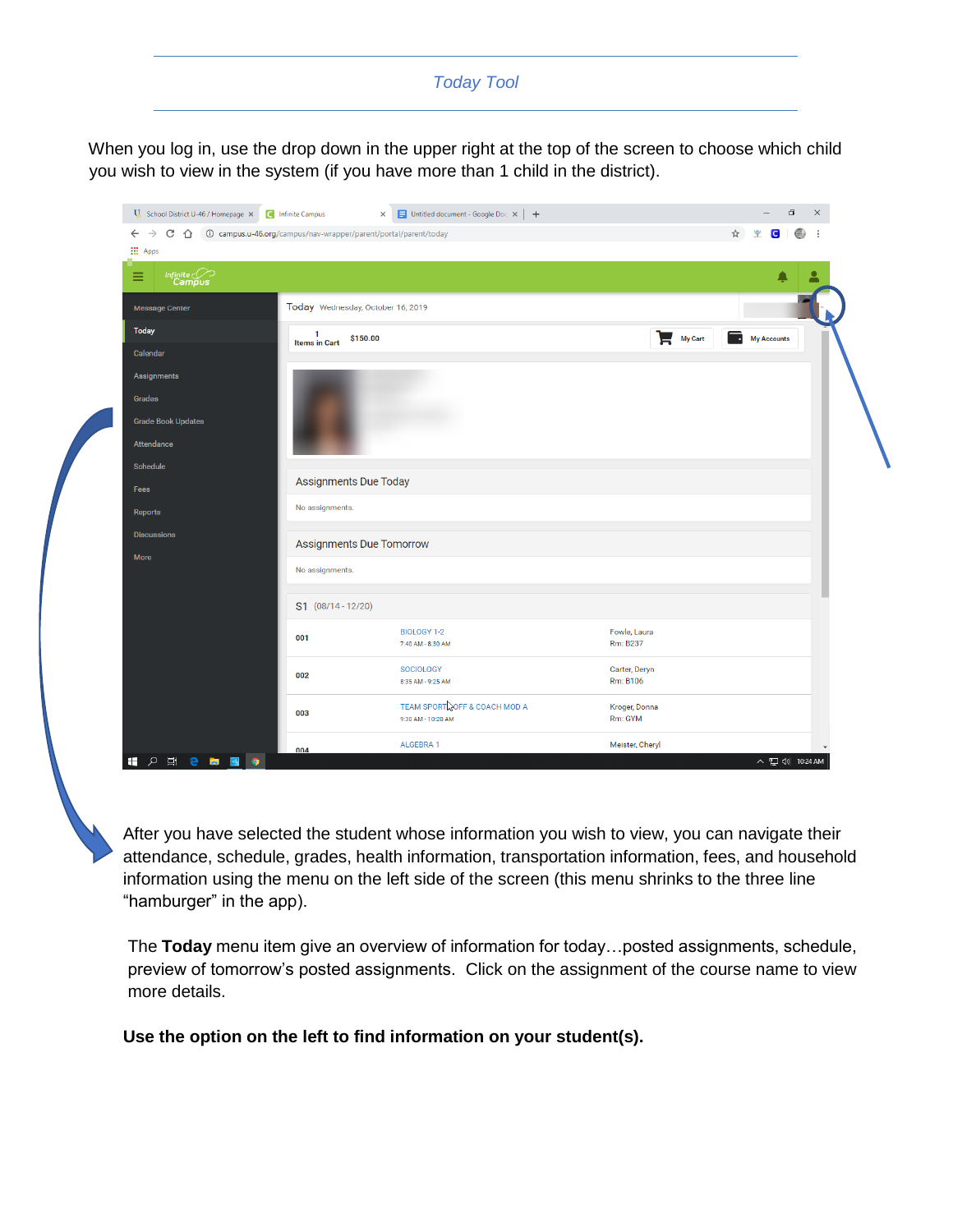#### *Today Tool*

<span id="page-2-0"></span>When you log in, use the drop down in the upper right at the top of the screen to choose which child you wish to view in the system (if you have more than 1 child in the district).



 After you have selected the student whose information you wish to view, you can navigate their attendance, schedule, grades, health information, transportation information, fees, and household information using the menu on the left side of the screen (this menu shrinks to the three line "hamburger" in the app).

 The **Today** menu item give an overview of information for today…posted assignments, schedule, preview of tomorrow's posted assignments. Click on the assignment of the course name to view more details.

 **Use the option on the left to find information on your student(s).**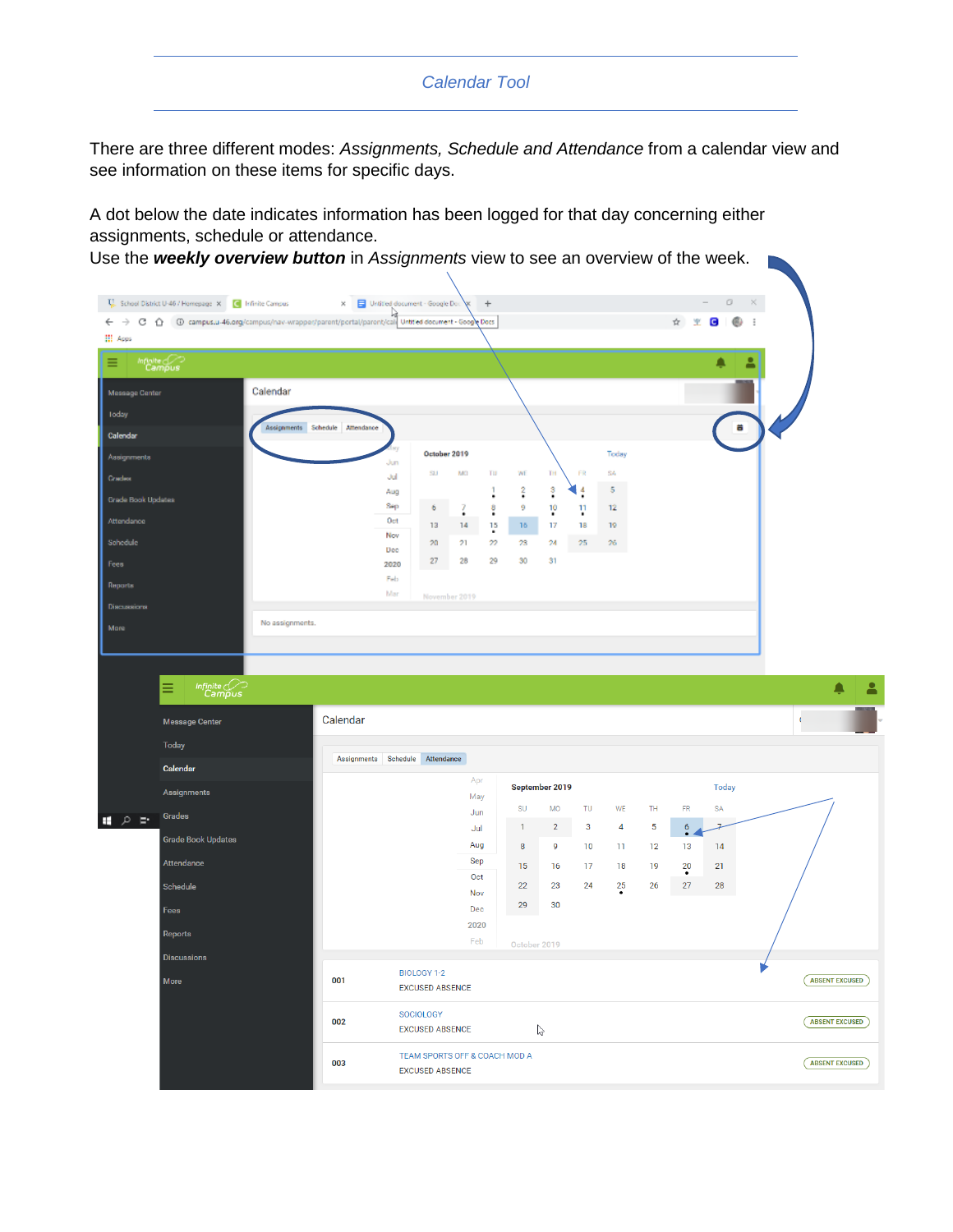#### *Calendar Tool*

<span id="page-3-0"></span>There are three different modes: *Assignments, Schedule and Attendance* from a calendar view and see information on these items for specific days.

A dot below the date indicates information has been logged for that day concerning either assignments, schedule or attendance.

Use the *weekly overview button* in *Assignments* view to see an overview of the week.

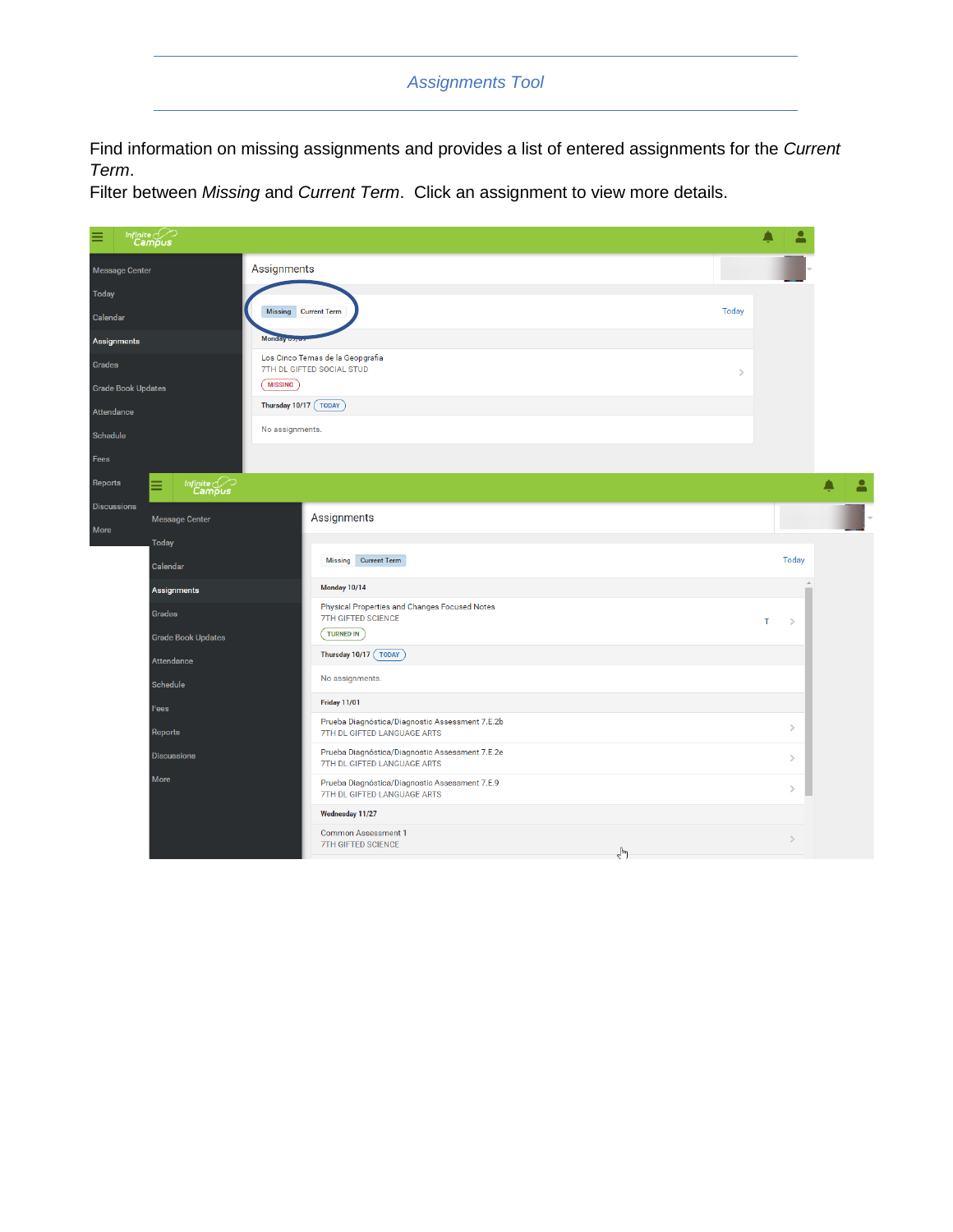#### *Assignments Tool*

<span id="page-4-0"></span>Find information on missing assignments and provides a list of entered assignments for the *Current Term*.

Filter between *Missing* and *Current Term*. Click an assignment to view more details.

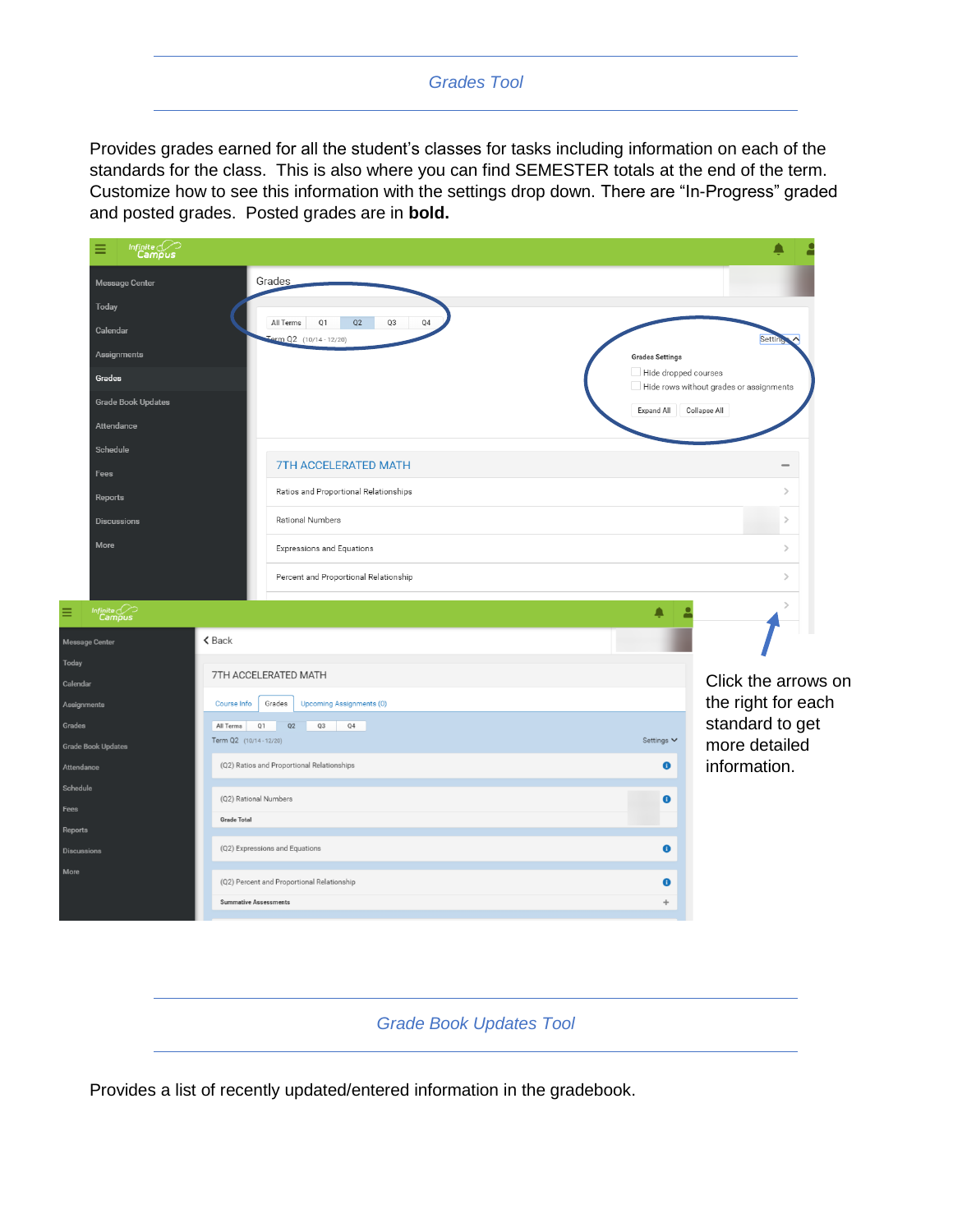#### *Grades Tool*

<span id="page-5-0"></span>Provides grades earned for all the student's classes for tasks including information on each of the standards for the class. This is also where you can find SEMESTER totals at the end of the term. Customize how to see this information with the settings drop down. There are "In-Progress" graded and posted grades. Posted grades are in **bold.**



*Grade Book Updates Tool*

Provides a list of recently updated/entered information in the gradebook.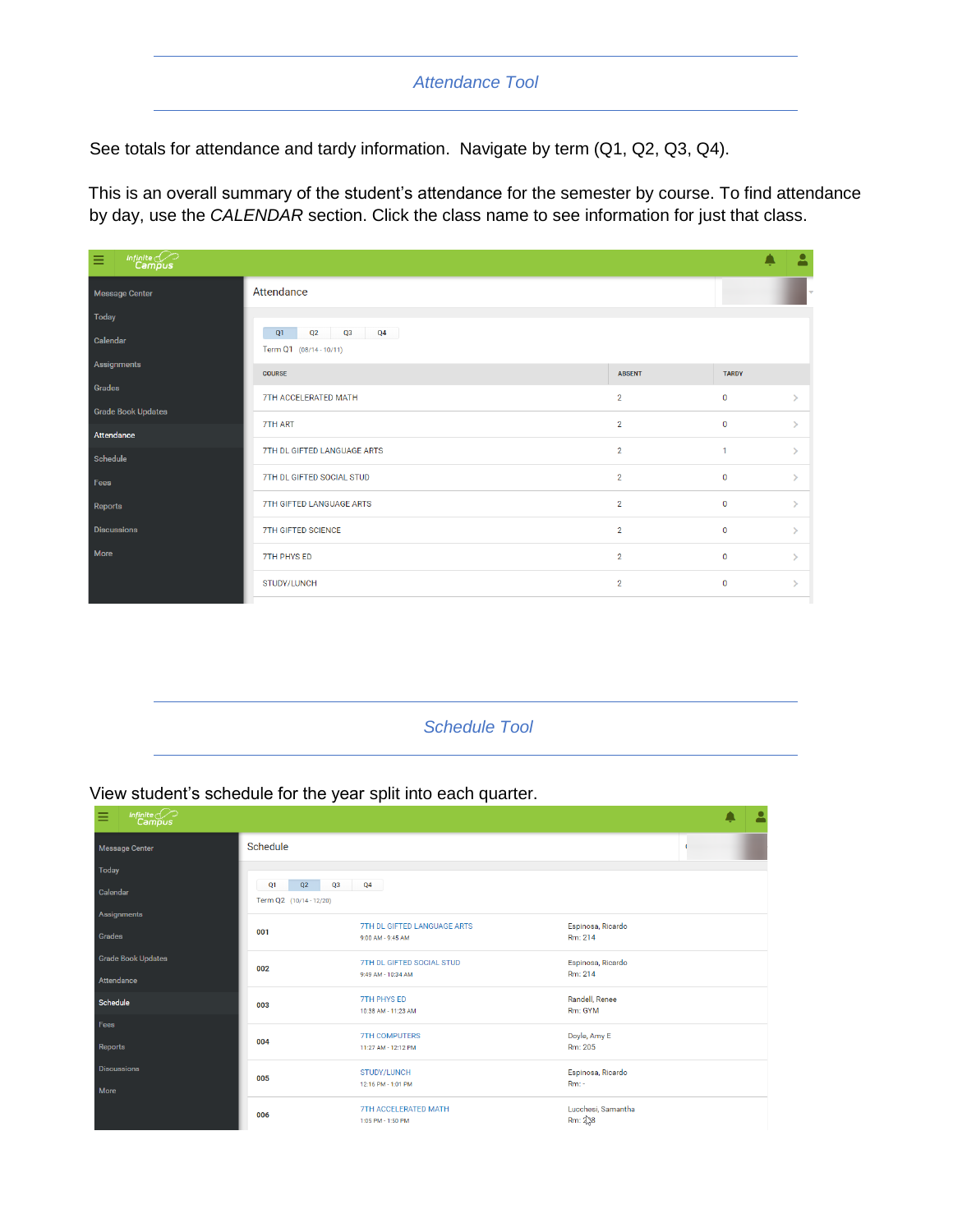### *Attendance Tool*

<span id="page-6-0"></span>See totals for attendance and tardy information. Navigate by term (Q1, Q2, Q3, Q4).

This is an overall summary of the student's attendance for the semester by course. To find attendance by day, use the *CALENDAR* section. Click the class name to see information for just that class.

| $\begin{matrix} \textit{Infinite} \\ \textit{Campus} \end{matrix}$<br>Ξ |                                                 |                |              | $\bullet$     |
|-------------------------------------------------------------------------|-------------------------------------------------|----------------|--------------|---------------|
| <b>Message Center</b>                                                   | Attendance                                      |                |              |               |
| Today                                                                   |                                                 |                |              |               |
| Calendar                                                                | Q2<br>Q3<br>Q4<br>Q1<br>Term Q1 (08/14 - 10/11) |                |              |               |
| Assignments                                                             | <b>COURSE</b>                                   | <b>ABSENT</b>  | <b>TARDY</b> |               |
| Grades                                                                  | 7TH ACCELERATED MATH                            | $\overline{2}$ | $\mathbf 0$  | У             |
| <b>Grade Book Updates</b>                                               |                                                 |                |              |               |
| Attendance                                                              | 7TH ART                                         | $\overline{2}$ | $\mathbf{0}$ | ↘             |
| Schedule                                                                | 7TH DL GIFTED LANGUAGE ARTS                     | $\overline{2}$ | $\mathbf{1}$ | $\mathcal{L}$ |
| Fees                                                                    | 7TH DL GIFTED SOCIAL STUD                       | $\overline{2}$ | $\mathbf{0}$ | v.            |
| Reports                                                                 | 7TH GIFTED LANGUAGE ARTS                        | $\overline{2}$ | $\mathbf 0$  | N             |
| <b>Discussions</b>                                                      | <b>7TH GIFTED SCIENCE</b>                       | $\overline{2}$ | $\mathbf 0$  | $\mathcal{L}$ |
| More                                                                    | 7TH PHYS ED                                     | $\overline{2}$ | $\mathbf{0}$ | N             |
|                                                                         | STUDY/LUNCH                                     | $\overline{2}$ | $\mathbf 0$  | N             |
|                                                                         |                                                 |                |              |               |

<span id="page-6-1"></span>*Schedule Tool*

#### View student's schedule for the year split into each quarter.

| $\overbrace{\mathsf{Infinite}}^{\mathsf{Infinite}}$<br>Ξ |                         |                                                  |                               | А |
|----------------------------------------------------------|-------------------------|--------------------------------------------------|-------------------------------|---|
| <b>Message Center</b>                                    | Schedule                |                                                  |                               |   |
| <b>Today</b>                                             |                         |                                                  |                               |   |
| Calendar                                                 | Q2<br>Q1<br>Q3          | Q4                                               |                               |   |
|                                                          | Term Q2 (10/14 - 12/20) |                                                  |                               |   |
| Assignments                                              |                         | 7TH DL GIFTED LANGUAGE ARTS                      | Espinosa, Ricardo             |   |
| Grades                                                   | 001                     | 9:00 AM - 9:45 AM                                | Rm: 214                       |   |
| <b>Grade Book Updates</b>                                |                         | 7TH DL GIFTED SOCIAL STUD                        | Espinosa, Ricardo             |   |
| Attendance                                               | 002                     | 9:49 AM - 10:34 AM                               | Rm: 214                       |   |
| Schedule                                                 | 003                     | <b>7TH PHYS ED</b>                               | Randell, Renee                |   |
|                                                          |                         | 10:38 AM - 11:23 AM                              | Rm: GYM                       |   |
| <b>Fees</b>                                              |                         | <b>7TH COMPUTERS</b>                             | Doyle, Amy E                  |   |
| Reports                                                  | 004                     | 11:27 AM - 12:12 PM                              | Rm: 205                       |   |
| <b>Discussions</b>                                       |                         | STUDY/LUNCH                                      | Espinosa, Ricardo             |   |
| More                                                     | 005                     | 12:16 PM - 1:01 PM                               | $Rm$ : -                      |   |
|                                                          | 006                     | <b>7TH ACCELERATED MATH</b><br>1:05 PM - 1:50 PM | Lucchesi, Samantha<br>Rm: 238 |   |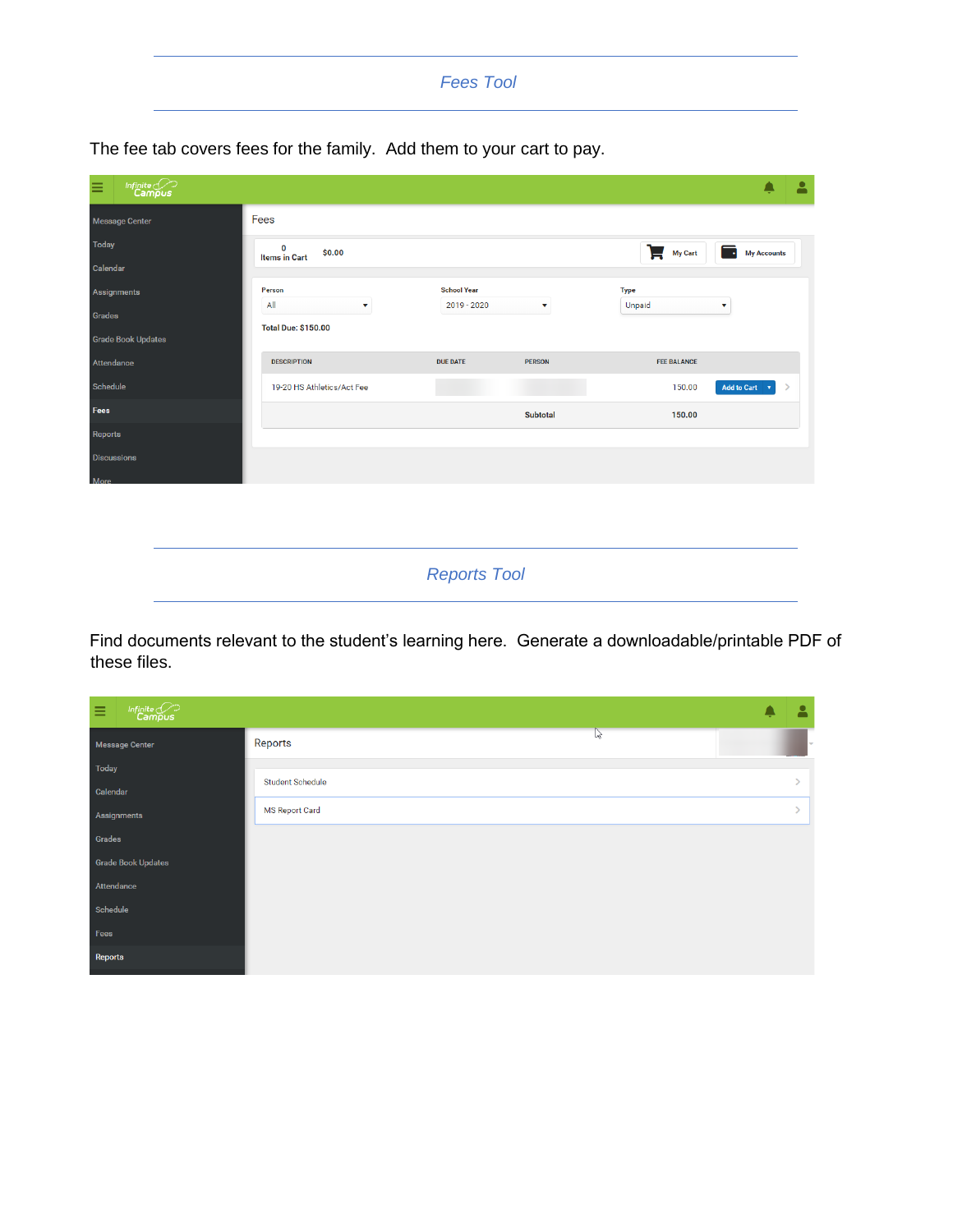#### <span id="page-7-0"></span>*Fees Tool*

The fee tab covers fees for the family. Add them to your cart to pay.

| $\begin{picture}(22,10) \put(0,0){\line(1,0){10}} \put(15,0){\line(1,0){10}} \put(15,0){\line(1,0){10}} \put(15,0){\line(1,0){10}} \put(15,0){\line(1,0){10}} \put(15,0){\line(1,0){10}} \put(15,0){\line(1,0){10}} \put(15,0){\line(1,0){10}} \put(15,0){\line(1,0){10}} \put(15,0){\line(1,0){10}} \put(15,0){\line(1,0){10}} \put(15,0){\line(1$<br>Ξ |                                     |                    |                       |                        |                    | 2 |
|----------------------------------------------------------------------------------------------------------------------------------------------------------------------------------------------------------------------------------------------------------------------------------------------------------------------------------------------------------|-------------------------------------|--------------------|-----------------------|------------------------|--------------------|---|
| Message Center                                                                                                                                                                                                                                                                                                                                           | Fees                                |                    |                       |                        |                    |   |
| <b>Today</b>                                                                                                                                                                                                                                                                                                                                             | 0<br>\$0.00<br><b>Items in Cart</b> |                    |                       | Г.<br>My Cart          | <b>My Accounts</b> |   |
| Calendar                                                                                                                                                                                                                                                                                                                                                 |                                     |                    |                       |                        |                    |   |
| Assignments                                                                                                                                                                                                                                                                                                                                              | Person                              | <b>School Year</b> |                       | Type                   |                    |   |
| Grades                                                                                                                                                                                                                                                                                                                                                   | All<br>$\mathbf{v}$                 | $2019 - 2020$      | $\boldsymbol{\nabla}$ | Unpaid<br>$\mathbf{v}$ |                    |   |
|                                                                                                                                                                                                                                                                                                                                                          | <b>Total Due: \$150.00</b>          |                    |                       |                        |                    |   |
| <b>Grade Book Updates</b>                                                                                                                                                                                                                                                                                                                                |                                     |                    |                       |                        |                    |   |
| Attendance                                                                                                                                                                                                                                                                                                                                               | <b>DESCRIPTION</b>                  | <b>DUE DATE</b>    | <b>PERSON</b>         | <b>FEE BALANCE</b>     |                    |   |
| Schedule                                                                                                                                                                                                                                                                                                                                                 | 19-20 HS Athletics/Act Fee          |                    |                       | 150.00                 | Add to Cart v      |   |
| <b>Fees</b>                                                                                                                                                                                                                                                                                                                                              |                                     |                    | <b>Subtotal</b>       | 150.00                 |                    |   |
| Reports                                                                                                                                                                                                                                                                                                                                                  |                                     |                    |                       |                        |                    |   |
| <b>Discussions</b>                                                                                                                                                                                                                                                                                                                                       |                                     |                    |                       |                        |                    |   |
| More                                                                                                                                                                                                                                                                                                                                                     |                                     |                    |                       |                        |                    |   |
|                                                                                                                                                                                                                                                                                                                                                          |                                     |                    |                       |                        |                    |   |

*Reports Tool*

<span id="page-7-1"></span>Find documents relevant to the student's learning here. Generate a downloadable/printable PDF of these files.

| $\begin{picture}(22,10) \put(0,0){\line(1,0){10}} \put(15,0){\line(1,0){10}} \put(15,0){\line(1,0){10}} \put(15,0){\line(1,0){10}} \put(15,0){\line(1,0){10}} \put(15,0){\line(1,0){10}} \put(15,0){\line(1,0){10}} \put(15,0){\line(1,0){10}} \put(15,0){\line(1,0){10}} \put(15,0){\line(1,0){10}} \put(15,0){\line(1,0){10}} \put(15,0){\line(1$<br>Ξ |                         | Δ |
|----------------------------------------------------------------------------------------------------------------------------------------------------------------------------------------------------------------------------------------------------------------------------------------------------------------------------------------------------------|-------------------------|---|
| <b>Message Center</b>                                                                                                                                                                                                                                                                                                                                    | $\mathbb{P}$<br>Reports | ÷ |
| Today                                                                                                                                                                                                                                                                                                                                                    | <b>Student Schedule</b> |   |
| Calendar                                                                                                                                                                                                                                                                                                                                                 |                         |   |
| Assignments                                                                                                                                                                                                                                                                                                                                              | <b>MS Report Card</b>   |   |
| Grades<br><b>Grade Book Updates</b>                                                                                                                                                                                                                                                                                                                      |                         |   |
| Attendance                                                                                                                                                                                                                                                                                                                                               |                         |   |
| Schedule                                                                                                                                                                                                                                                                                                                                                 |                         |   |
| Fees                                                                                                                                                                                                                                                                                                                                                     |                         |   |
| Reports                                                                                                                                                                                                                                                                                                                                                  |                         |   |